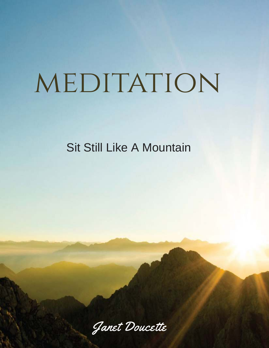# MEDITATION

Sit Still Like A Mountain

Janet Doucette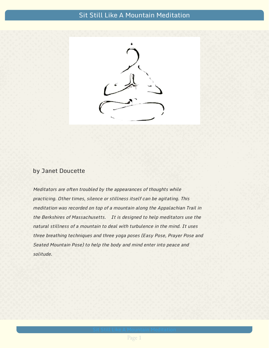## Sit Still Like A Mountain Meditation



#### by Janet Doucette

Meditators are often troubled by the appearances of thoughts while practicing. Other times, silence or stillness itself can be agitating. This meditation was recorded on top of a mountain along the Appalachian Trail in the Berkshires of Massachusetts. It is designed to help meditators use the natural stillness of a mountain to deal with turbulence in the mind. It uses three breathing techniques and three yoga poses (Easy Pose, Prayer Pose and Seated Mountain Pose) to help the body and mind enter into peace and solitude.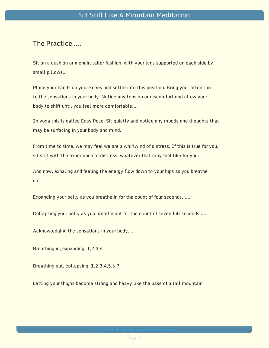#### The Practice ….

Sit on a cushion or a chair, tailor fashion, with your legs supported on each side by small pillows…

Place your hands on your knees and settle into this position. Bring your attention to the sensations in your body. Notice any tension or discomfort and allow your body to shift until you feel more comfortable….

In yoga this is called Easy Pose. Sit quietly and notice any moods and thoughts that may be surfacing in your body and mind.

From time to time, we may feel we are a whirlwind of distress. If this is true for you, sit still with the experience of distress, whatever that may feel like for you.

And now, exhaling and feeling the energy flow down to your hips as you breathe out.

Expanding your belly as you breathe in for the count of four seconds……

Collapsing your belly as you breathe out for the count of seven full seconds…..

Acknowledging the sensations in your body…..

Breathing in, expanding, 1,2,3,4

Breathing out, collapsing, 1,2,3,4,5,6,7

Letting your thighs become strong and heavy like the base of a tall mountain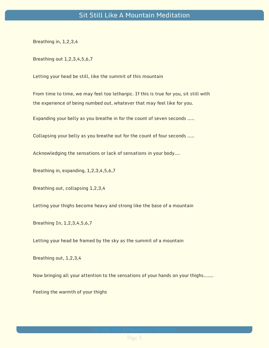Breathing in, 1,2,3,4

Breathing out 1,2,3,4,5,6,7

Letting your head be still, like the summit of this mountain

From time to time, we may feel too lethargic. If this is true for you, sit still with the experience of being numbed out, whatever that may feel like for you.

Expanding your belly as you breathe in for the count of seven seconds …..

Collapsing your belly as you breathe out for the count of four seconds …..

Acknowledging the sensations or lack of sensations in your body….

Breathing in, expanding, 1,2,3,4,5,6,7

Breathing out, collapsing 1,2,3,4

Letting your thighs become heavy and strong like the base of a mountain

Breathing In, 1,2,3,4,5,6,7

Letting your head be framed by the sky as the summit of a mountain

Breathing out, 1,2,3,4

Now bringing all your attention to the sensations of your hands on your thighs…….

Feeling the warmth of your thighs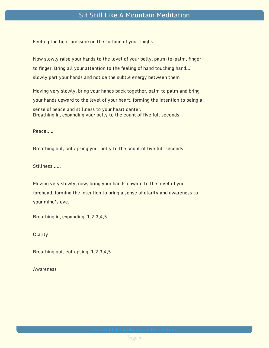### Sit Still Like A Mountain Meditation

Feeling the light pressure on the surface of your thighs

Now slowly raise your hands to the level of your belly, palm-to-palm, finger to finger. Bring all your attention to the feeling of hand touching hand... slowly part your hands and notice the subtle energy between them

Moving very slowly, bring your hands back together, palm to palm and bring your hands upward to the level of your heart, forming the intention to being a sense of peace and stillness to your heart center. Breathing in, expanding your belly to the count of five full seconds

Peace…..

Breathing out, collapsing your belly to the count of five full seconds

Stillness……

Moving very slowly, now, bring your hands upward to the level of your forehead, forming the intention to bring a sense of clarity and awareness to your mind's eye.

Breathing in, expanding, 1,2,3,4,5

**Clarity** 

Breathing out, collapsing, 1,2,3,4,5

Awareness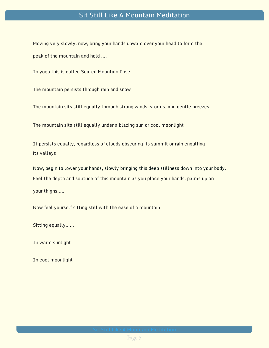### Sit Still Like A Mountain Meditation

Moving very slowly, now, bring your hands upward over your head to form the peak of the mountain and hold ….

In yoga this is called Seated Mountain Pose

The mountain persists through rain and snow

The mountain sits still equally through strong winds, storms, and gentle breezes

The mountain sits still equally under a blazing sun or cool moonlight

It persists equally, regardless of clouds obscuring its summit or rain engulfing its valleys

Now, begin to lower your hands, slowly bringing this deep stillness down into your body. Feel the depth and solitude of this mountain as you place your hands, palms up on your thighs…..

Now feel yourself sitting still with the ease of a mountain

Sitting equally……

In warm sunlight

In cool moonlight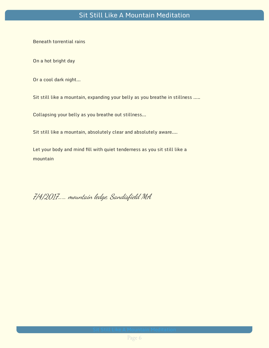Beneath torrential rains

On a hot bright day

Or a cool dark night…

Sit still like a mountain, expanding your belly as you breathe in stillness …..

Collapsing your belly as you breathe out stillness…

Sit still like a mountain, absolutely clear and absolutely aware….

Let your body and mind fill with quiet tenderness as you sit still like a mountain

7/4/2017…… mountain ledge, Sandisfield MA